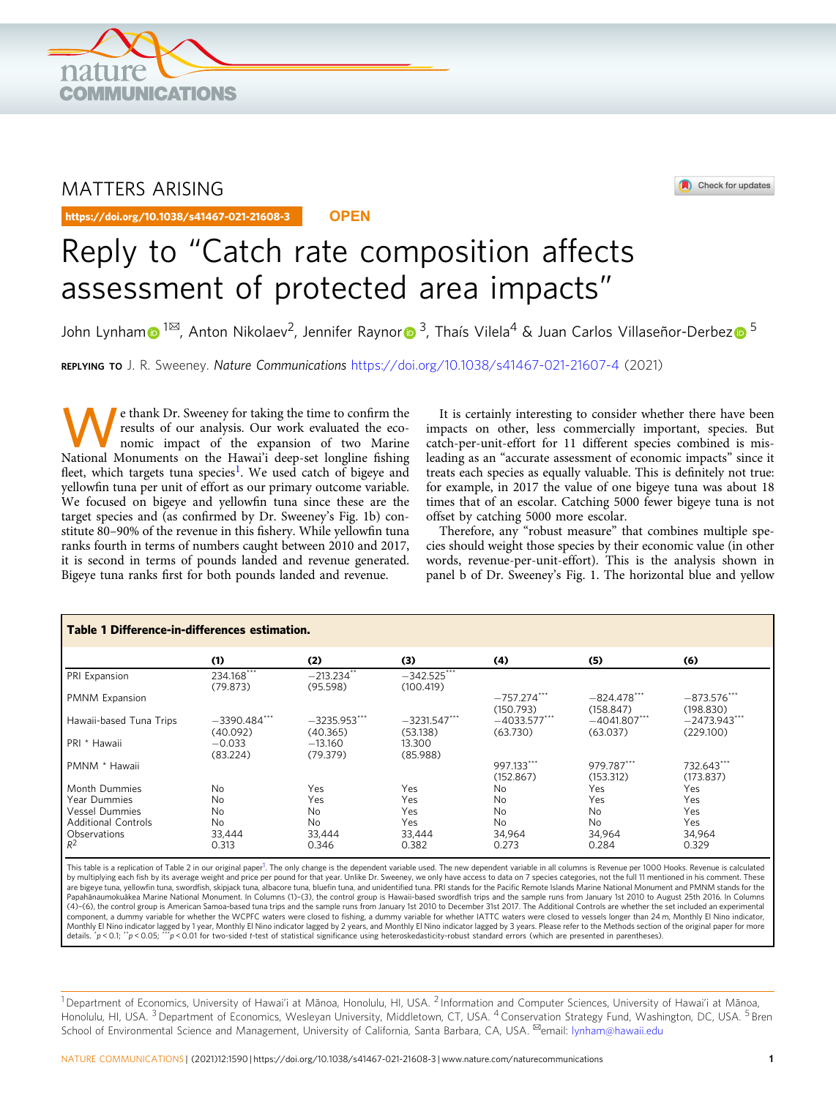<span id="page-0-0"></span>

# MATTERS ARISING

https://doi.org/10.1038/s41467-021-21608-3



# Reply to "Catch rate composition affects assessment of protected area impacts"

John Lynha[m](http://orcid.org/0000-0002-5816-9648)  $1^{\boxtimes}$ , Anton Nikolaev<sup>2</sup>, Jennife[r](http://orcid.org/0000-0003-0229-9889) Raynor 3, Thaís Vilela<sup>4</sup> & Juan Carlos Villaseñor-Derbe[z](http://orcid.org/0000-0003-1245-589X)  $\bullet$  <sup>[5](http://orcid.org/0000-0003-1245-589X)</sup>

REPLYING TO J. R. Sweeney. Nature Communications <https://doi.org/10.1038/s41467-021-21607-4> (2021)

e thank Dr. Sweeney for taking the time to confirm the results of our analysis. Our work evaluated the economic impact of the expansion of two Marine results of our analysis. Our work evaluated the eco-National Monuments on the Hawai'i deep-set longline fishing fleet, which targets tuna species<sup>[1](#page-1-0)</sup>. We used catch of bigeye and yellowfin tuna per unit of effort as our primary outcome variable. We focused on bigeye and yellowfin tuna since these are the target species and (as confirmed by Dr. Sweeney's Fig. 1b) constitute 80–90% of the revenue in this fishery. While yellowfin tuna ranks fourth in terms of numbers caught between 2010 and 2017, it is second in terms of pounds landed and revenue generated. Bigeye tuna ranks first for both pounds landed and revenue.

It is certainly interesting to consider whether there have been impacts on other, less commercially important, species. But catch-per-unit-effort for 11 different species combined is misleading as an "accurate assessment of economic impacts" since it treats each species as equally valuable. This is definitely not true: for example, in 2017 the value of one bigeye tuna was about 18 times that of an escolar. Catching 5000 fewer bigeye tuna is not offset by catching 5000 more escolar.

Therefore, any "robust measure" that combines multiple species should weight those species by their economic value (in other words, revenue-per-unit-effort). This is the analysis shown in panel b of Dr. Sweeney's Fig. 1. The horizontal blue and yellow

| Table 1 Difference-in-differences estimation. |                             |                            |                            |                            |                            |                             |
|-----------------------------------------------|-----------------------------|----------------------------|----------------------------|----------------------------|----------------------------|-----------------------------|
|                                               | (1)                         | (2)                        | (3)                        | (4)                        | (5)                        | (6)                         |
| PRI Expansion                                 | 234.168***<br>(79.873)      | $-213.234$ **<br>(95.598)  | $-342.525***$<br>(100.419) |                            |                            |                             |
| PMNM Expansion                                |                             |                            |                            | $-757.274***$<br>(150.793) | $-824.478***$<br>(158.847) | $-873.576***$<br>(198.830)  |
| Hawaii-based Tuna Trips                       | $-3390.484$ ***<br>(40.092) | $-3235.953***$<br>(40.365) | $-3231.547***$<br>(53.138) | $-4033.577***$<br>(63.730) | $-4041.807***$<br>(63.037) | $-2473.943***$<br>(229.100) |
| PRI * Hawaii                                  | $-0.033$<br>(83.224)        | $-13.160$<br>(79.379)      | 13.300<br>(85.988)         |                            |                            |                             |
| PMNM * Hawaii                                 |                             |                            |                            | 997.133***<br>(152.867)    | 979.787***<br>(153.312)    | 732.643***<br>(173.837)     |
| Month Dummies                                 | No                          | Yes                        | Yes                        | N <sub>0</sub>             | Yes                        | Yes                         |
| Year Dummies                                  | No                          | Yes                        | Yes                        | <b>No</b>                  | Yes                        | Yes                         |
| <b>Vessel Dummies</b>                         | No                          | No                         | Yes                        | No                         | No                         | Yes                         |
| <b>Additional Controls</b>                    | No                          | No                         | Yes                        | <b>No</b>                  | <b>No</b>                  | Yes                         |
| Observations                                  | 33.444                      | 33.444                     | 33.444                     | 34.964                     | 34.964                     | 34.964                      |
| $R^2$                                         | 0.313                       | 0.346                      | 0.382                      | 0.273                      | 0.284                      | 0.329                       |

This table is a replication of Table 2 in our original paper<sup>[1](#page-1-0)</sup>. The only change is the dependent variable used. The new dependent variable in all columns is Revenue per 1000 Hooks. Revenue is calculated by multiplying each fish by its average weight and price per pound for that year. Unlike Dr. Sweeney, we only have access to data on 7 species categories, not the full 11 mentioned in his comment. These<br>are bigeye tuna, ye Papahānaumokuākea Marine National Monument. In Columns (1)–(3), the control group is Hawaii-based swordfish trips and the sample runs from January 1st 2010 to August 25th 2016. In Columns (4)–(6), the control group is American Samoa-based tuna trips and the sample runs from January 1st 2010 to December 31st 2017. The Additional Controls are whether the set included an experimental component, a dummy variable for whether the WCPFC waters were closed to fishing, a dummy variable for whether IATTC waters were closed to vessels longer than 24 m, Monthly El Nino indicator, Monthly El Nino indicator lagged by 1 year, Monthly El Nino indicator lagged by 2 years, and Monthly El Nino indicator lagged by 3 years. Please refer to the Methods section of the original paper for more<br>details. "p< 0.1;

 $^1$ Department of Economics, University of Hawai'i at Mānoa, Honolulu, HI, USA. <sup>2</sup> Information and Computer Sciences, University of Hawai'i at Mānoa, Honolulu, HI, USA. <sup>3</sup> Department of Economics, Wesleyan University, Middletown, CT, USA. <sup>4</sup> Conservation Strategy Fund, Washington, DC, USA. <sup>5</sup> Bren School of Environmental Science and Management, University of California, Santa Barbara, CA, USA. <sup>⊠</sup>email: [lynham@hawaii.edu](mailto:lynham@hawaii.edu)